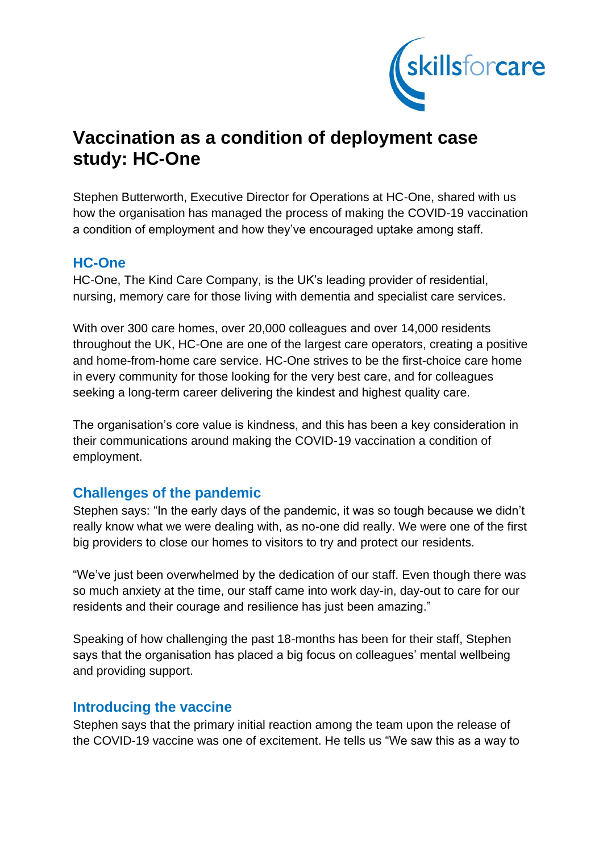

# **Vaccination as a condition of deployment case study: HC-One**

Stephen Butterworth, Executive Director for Operations at HC-One, shared with us how the organisation has managed the process of making the COVID-19 vaccination a condition of employment and how they've encouraged uptake among staff.

### **HC-One**

HC-One, The Kind Care Company, is the UK's leading provider of residential, nursing, memory care for those living with dementia and specialist care services.

With over 300 care homes, over 20,000 colleagues and over 14,000 residents throughout the UK, HC-One are one of the largest care operators, creating a positive and home-from-home care service. HC-One strives to be the first-choice care home in every community for those looking for the very best care, and for colleagues seeking a long-term career delivering the kindest and highest quality care.

The organisation's core value is kindness, and this has been a key consideration in their communications around making the COVID-19 vaccination a condition of employment.

## **Challenges of the pandemic**

Stephen says: "In the early days of the pandemic, it was so tough because we didn't really know what we were dealing with, as no-one did really. We were one of the first big providers to close our homes to visitors to try and protect our residents.

"We've just been overwhelmed by the dedication of our staff. Even though there was so much anxiety at the time, our staff came into work day-in, day-out to care for our residents and their courage and resilience has just been amazing."

Speaking of how challenging the past 18-months has been for their staff, Stephen says that the organisation has placed a big focus on colleagues' mental wellbeing and providing support.

### **Introducing the vaccine**

Stephen says that the primary initial reaction among the team upon the release of the COVID-19 vaccine was one of excitement. He tells us "We saw this as a way to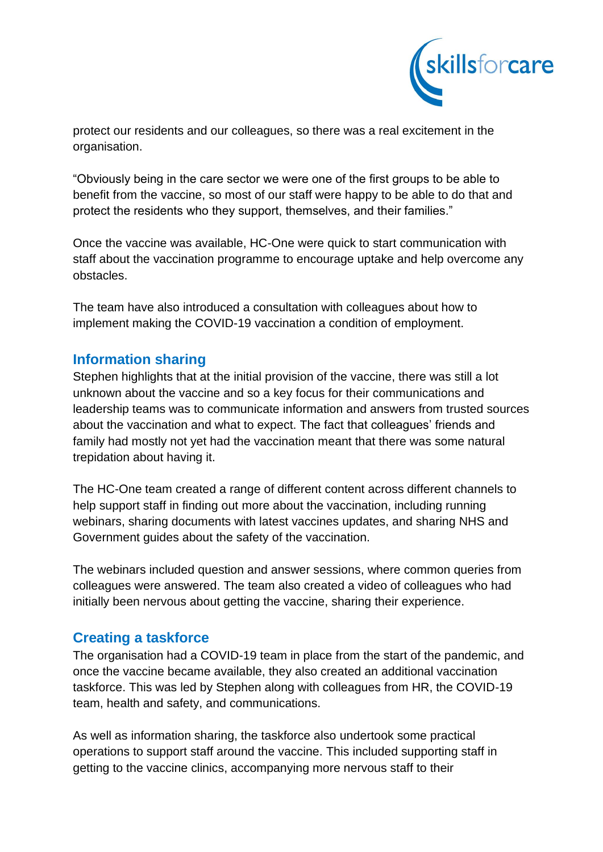

protect our residents and our colleagues, so there was a real excitement in the organisation.

"Obviously being in the care sector we were one of the first groups to be able to benefit from the vaccine, so most of our staff were happy to be able to do that and protect the residents who they support, themselves, and their families."

Once the vaccine was available, HC-One were quick to start communication with staff about the vaccination programme to encourage uptake and help overcome any obstacles.

The team have also introduced a consultation with colleagues about how to implement making the COVID-19 vaccination a condition of employment.

## **Information sharing**

Stephen highlights that at the initial provision of the vaccine, there was still a lot unknown about the vaccine and so a key focus for their communications and leadership teams was to communicate information and answers from trusted sources about the vaccination and what to expect. The fact that colleagues' friends and family had mostly not yet had the vaccination meant that there was some natural trepidation about having it.

The HC-One team created a range of different content across different channels to help support staff in finding out more about the vaccination, including running webinars, sharing documents with latest vaccines updates, and sharing NHS and Government guides about the safety of the vaccination.

The webinars included question and answer sessions, where common queries from colleagues were answered. The team also created a video of colleagues who had initially been nervous about getting the vaccine, sharing their experience.

## **Creating a taskforce**

The organisation had a COVID-19 team in place from the start of the pandemic, and once the vaccine became available, they also created an additional vaccination taskforce. This was led by Stephen along with colleagues from HR, the COVID-19 team, health and safety, and communications.

As well as information sharing, the taskforce also undertook some practical operations to support staff around the vaccine. This included supporting staff in getting to the vaccine clinics, accompanying more nervous staff to their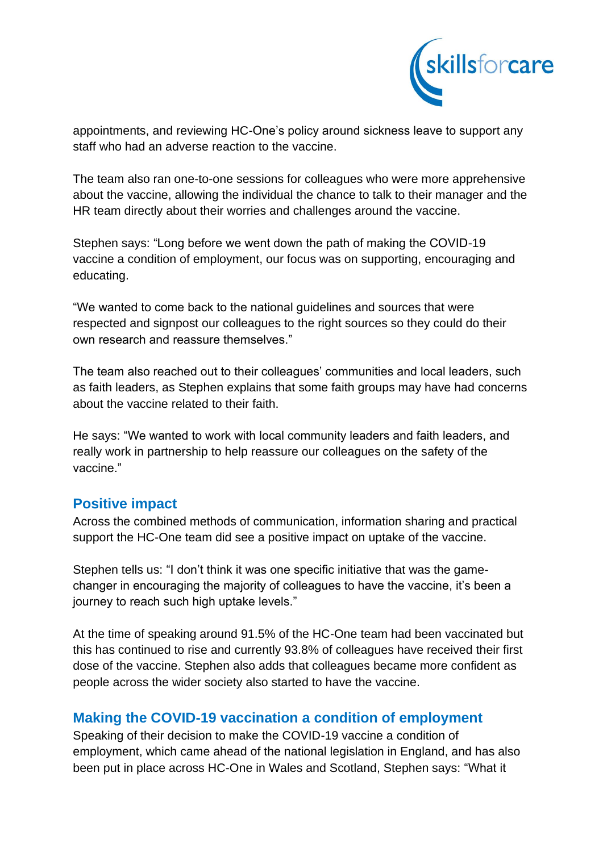

appointments, and reviewing HC-One's policy around sickness leave to support any staff who had an adverse reaction to the vaccine.

The team also ran one-to-one sessions for colleagues who were more apprehensive about the vaccine, allowing the individual the chance to talk to their manager and the HR team directly about their worries and challenges around the vaccine.

Stephen says: "Long before we went down the path of making the COVID-19 vaccine a condition of employment, our focus was on supporting, encouraging and educating.

"We wanted to come back to the national guidelines and sources that were respected and signpost our colleagues to the right sources so they could do their own research and reassure themselves."

The team also reached out to their colleagues' communities and local leaders, such as faith leaders, as Stephen explains that some faith groups may have had concerns about the vaccine related to their faith.

He says: "We wanted to work with local community leaders and faith leaders, and really work in partnership to help reassure our colleagues on the safety of the vaccine."

### **Positive impact**

Across the combined methods of communication, information sharing and practical support the HC-One team did see a positive impact on uptake of the vaccine.

Stephen tells us: "I don't think it was one specific initiative that was the gamechanger in encouraging the majority of colleagues to have the vaccine, it's been a journey to reach such high uptake levels."

At the time of speaking around 91.5% of the HC-One team had been vaccinated but this has continued to rise and currently 93.8% of colleagues have received their first dose of the vaccine. Stephen also adds that colleagues became more confident as people across the wider society also started to have the vaccine.

## **Making the COVID-19 vaccination a condition of employment**

Speaking of their decision to make the COVID-19 vaccine a condition of employment, which came ahead of the national legislation in England, and has also been put in place across HC-One in Wales and Scotland, Stephen says: "What it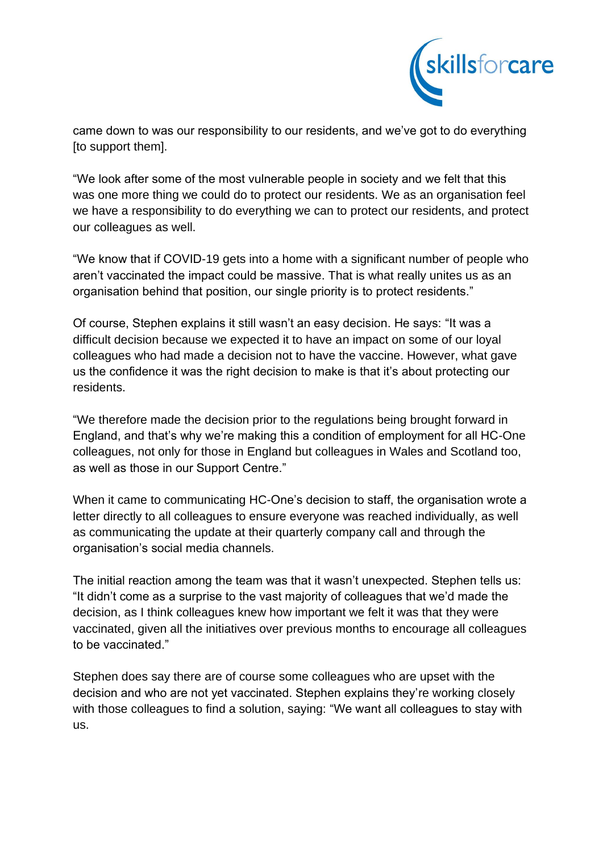

came down to was our responsibility to our residents, and we've got to do everything [to support them].

"We look after some of the most vulnerable people in society and we felt that this was one more thing we could do to protect our residents. We as an organisation feel we have a responsibility to do everything we can to protect our residents, and protect our colleagues as well.

"We know that if COVID-19 gets into a home with a significant number of people who aren't vaccinated the impact could be massive. That is what really unites us as an organisation behind that position, our single priority is to protect residents."

Of course, Stephen explains it still wasn't an easy decision. He says: "It was a difficult decision because we expected it to have an impact on some of our loyal colleagues who had made a decision not to have the vaccine. However, what gave us the confidence it was the right decision to make is that it's about protecting our residents.

"We therefore made the decision prior to the regulations being brought forward in England, and that's why we're making this a condition of employment for all HC-One colleagues, not only for those in England but colleagues in Wales and Scotland too, as well as those in our Support Centre."

When it came to communicating HC-One's decision to staff, the organisation wrote a letter directly to all colleagues to ensure everyone was reached individually, as well as communicating the update at their quarterly company call and through the organisation's social media channels.

The initial reaction among the team was that it wasn't unexpected. Stephen tells us: "It didn't come as a surprise to the vast majority of colleagues that we'd made the decision, as I think colleagues knew how important we felt it was that they were vaccinated, given all the initiatives over previous months to encourage all colleagues to be vaccinated."

Stephen does say there are of course some colleagues who are upset with the decision and who are not yet vaccinated. Stephen explains they're working closely with those colleagues to find a solution, saying: "We want all colleagues to stay with us.